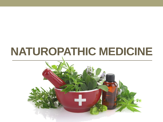# **NATUROPATHIC MEDICINE**

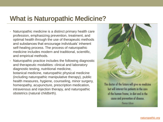# **What is Naturopathic Medicine?**

- Naturopathic medicine is a distinct primary health care profession, emphasizing prevention, treatment, and optimal health through the use of therapeutic methods and substances that encourage individuals' inherent self-healing process. The process of naturopathic medicine includes modern and traditional, scientific, and empirical methods.
- Naturopathic practice includes the following diagnostic and therapeutic modalities: clinical and laboratory diagnostic testing, nutritional medicine, botanical medicine, naturopathic physical medicine (including naturopathic manipulative therapy), public health measures, hygiene, counseling, minor surgery, homeopathy, acupuncture, prescription medication, intravenous and injection therapy, and naturopathic obstetrics (natural childbirth).



The doctor of the future will give no medicine but will interest his patients in the care of the human frame, in diet and in the cause and prevention of disease. **Thomas Edison**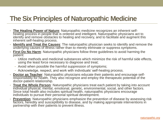# **The Six Principles of Naturopathic Medicine**

- **The Healing Power of Nature**: Naturopathic medicine recognizes an inherent selfhealing process in people that is ordered and intelligent. Naturopathic physicians act to identify and remove obstacles to healing and recovery, and to facilitate and augment this inherent self-healing process.
- **Identify and Treat the Causes**: The naturopathic physician seeks to identify and remove the underlying causes of illness rather than to merely eliminate or suppress symptoms.
- **First Do No Harm**: Naturopathic physicians follow three guidelines to avoid harming the patient:
	- Utilize methods and medicinal substances which minimize the risk of harmful side effects, using the least force necessary to diagnose and treat;
	- Avoid when possible the harmful suppression of symptoms;
	- Acknowledge, respect, and work with individuals' self-healing process.
- **Doctor as Teacher**: Naturopathic physicians educate their patients and encourage selfresponsibility for health. They also recognize and employ the therapeutic potential of the doctor-patient relationship.
- **Treat the Whole Person**: Naturopathic physicians treat each patient by taking into account individual physical, mental, emotional, genetic, environmental, social, and other factors. Since total health also includes spiritual health, naturopathic physicians encourage individuals to pursue their personal spiritual development.
- **Prevention**: Naturopathic physicians emphasize the prevention of disease by assessing risk factors, heredity and susceptibility to disease, and by making appropriate interventions in partnership with their patients to prevent illness.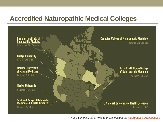# **Accredited Naturopathic Medical Colleges**



*For a complete list of links to these institutions: [naturopathic.org/education](http://www.naturopathic.org/education)*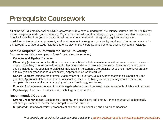# **Prerequisite Coursework**

All of the AANMC-member schools ND programs require a base of undergraduate science courses that include biology as well as general and organic chemistry. Physics, biochemistry, math and psychology courses may also be specified. Check with each school you are considering in order to ensure that all prerequisite requirements are met.

In addition to the required coursework, additional courses to strengthen your background and to better prepare you for a naturopathic course of study include: anatomy, biochemistry, botany, developmental psychology and physiology.

#### **Sample Required Coursework for Bastyr University**

(*must be taken within seven years of matriculation into the program)*

- **College-level Algebra**: 1 course
- **Chemistry (science-major level)**: at least 4 courses. Must include a minimum of either two sequential courses in organic chemistry or one course in organic chemistry and one course in biochemistry. The chemistry sequence should include an introduction to biological molecules. (The standard prerequisite for science-major level organic chemistry is one year of general chemistry.) Appropriate lab work required.
- **General Biology** (science-major level): 2 semesters or 3 quarters. Must cover concepts in cellular biology and genetics. Appropriate lab work required. Individual courses in the biological sciences may count if the above competencies are met, i.e., anatomy, physiology, microbiology, and botany.
- **Physics**: 1 college-level course. It must be algebra-based; calculus-based is also acceptable. A lab is not required.
- **Psychology**: 1 course. Introduction to psychology is recommended.

#### **Recommended Courses**

- **Strongly recommended**: Biochemistry, anatomy, and physiology, and botany these courses will substantially enhance your ability to master the naturopathic course material
- **Suggested**: Biomedical ethics, philosophy of science, public speaking and English composition

*\*For specific prerequisites for each accredited institution: [aanmc.org/naturopathic-schools/academic-prerequisites](https://aanmc.org/naturopathic-schools/academic-prerequisites/)*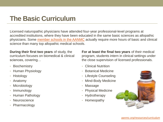# **The Basic Curriculum**

Licensed naturopathic physicians have attended four-year professional-level programs at accredited institutions, where they have been educated in the same basic sciences as allopathic physicians. Some [member schools in the AANMC](https://aanmc.org/naturopathic-schools/) actually require more hours of basic and clinical science than many top allopathic medical schools.

**During their first two years** of study, the curriculum focuses on biomedical & clinical sciences, covering…

- Biochemistry
- Human Physiology
- Histology
- Anatomy
- Microbiology
- Immunology
- Human Pathology
- Neuroscience
- Pharmacology

**For at least the final two years** of their medical program, students intern in clinical settings under the close supervision of licensed professionals.

- Clinical Nutrition
- Botanical Medicine
- Lifestyle Counseling
- Mind-Body Medicine
- Massage
- Physical Medicine
- Hydrotherapy
- Homeopathy

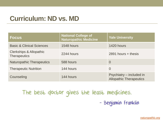# **Curriculum: ND vs. MD**

| <b>Focus</b>                                   | <b>National College of</b><br>Naturopathic Medicine | <b>Yale University</b>                                     |
|------------------------------------------------|-----------------------------------------------------|------------------------------------------------------------|
| <b>Basic &amp; Clinical Sciences</b>           | 1548 hours                                          | 1420 hours                                                 |
| Clerkships & Allopathic<br><b>Therapeutics</b> | 2244 hours                                          | $2891$ hours + thesis                                      |
| <b>Naturopathic Therapeutics</b>               | 588 hours                                           | $\Omega$                                                   |
| <b>Therapeutic Nutrition</b>                   | 144 hours                                           | $\Omega$                                                   |
| Counseling                                     | 144 hours                                           | Psychiatry – included in<br><b>Allopathic Therapeutics</b> |

The best doctor gives the least medicines. - Benjamin Franklin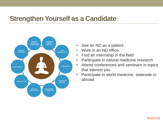# **Strengthen Yourself as a Candidate**



- See an ND as a patient
- Work in an ND office
- Find an internship in the field
- Participate in natural medicine research
- Attend conferences and seminars in topics that interest you
- Participate in world medicine, stateside or abroad